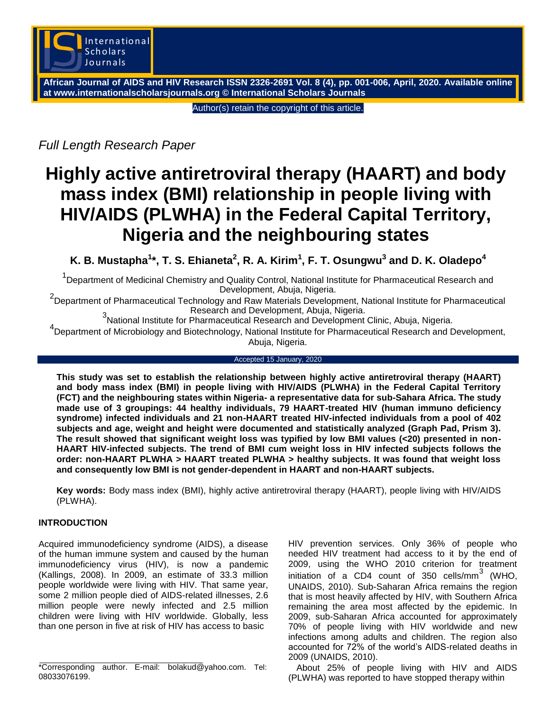

**African Journal of AIDS and HIV Research ISSN 2326-2691 Vol. 8 (4), pp. 001-006, April, 2020. Available online at www.internationalscholarsjournals.org © International Scholars Journals**

Author(s) retain the copyright of this article.

*Full Length Research Paper*

# **Highly active antiretroviral therapy (HAART) and body mass index (BMI) relationship in people living with HIV/AIDS (PLWHA) in the Federal Capital Territory, Nigeria and the neighbouring states**

**K. B. Mustapha<sup>1</sup> \*, T. S. Ehianeta<sup>2</sup> , R. A. Kirim<sup>1</sup> , F. T. Osungwu<sup>3</sup> and D. K. Oladepo<sup>4</sup>**

<sup>1</sup>Department of Medicinal Chemistry and Quality Control, National Institute for Pharmaceutical Research and Development, Abuja, Nigeria.

2 Department of Pharmaceutical Technology and Raw Materials Development, National Institute for Pharmaceutical

Research and Development, Abuja, Nigeria. <sup>3</sup> National Institute for Pharmaceutical Research and Development Clinic, Abuja, Nigeria.

4<br>
Department of Microbiology and Biotechnology, National Institute for Pharmaceutical Research and Development, Abuja, Nigeria.

### Accepted 15 January, 2020

**This study was set to establish the relationship between highly active antiretroviral therapy (HAART) and body mass index (BMI) in people living with HIV/AIDS (PLWHA) in the Federal Capital Territory (FCT) and the neighbouring states within Nigeria- a representative data for sub-Sahara Africa. The study made use of 3 groupings: 44 healthy individuals, 79 HAART-treated HIV (human immuno deficiency syndrome) infected individuals and 21 non-HAART treated HIV-infected individuals from a pool of 402 subjects and age, weight and height were documented and statistically analyzed (Graph Pad, Prism 3). The result showed that significant weight loss was typified by low BMI values (<20) presented in non-HAART HIV-infected subjects. The trend of BMI cum weight loss in HIV infected subjects follows the order: non-HAART PLWHA > HAART treated PLWHA > healthy subjects. It was found that weight loss and consequently low BMI is not gender-dependent in HAART and non-HAART subjects.**

**Key words:** Body mass index (BMI), highly active antiretroviral therapy (HAART), people living with HIV/AIDS (PLWHA).

# **INTRODUCTION**

Acquired immunodeficiency syndrome (AIDS), a disease of the human [immune system a](http://en.wikipedia.org/wiki/Immune_system)nd caused by the [human](http://en.wikipedia.org/wiki/HIV) [immunodeficiency virus \(](http://en.wikipedia.org/wiki/HIV)HIV), is now a pandemic (Kallings, 2008). In 2009, an estimate of 33.3 million people worldwide were living with HIV. That same year, some 2 million people died of AIDS-related illnesses, 2.6 million people were newly infected and 2.5 million children were living with HIV worldwide. Globally, less than one person in five at risk of HIV has access to basic

HIV prevention services. Only 36% of people who needed HIV treatment had access to it by the end of 2009, using the WHO 2010 criterion for treatment initiation of a CD4 count of 350 cells/mm<sup>3</sup> (WHO, UNAIDS, 2010). Sub-Saharan Africa remains the region that is most heavily affected by HIV, with Southern Africa remaining the area most affected by the epidemic. In 2009, sub-Saharan Africa accounted for approximately 70% of people living with HIV worldwide and new infections among adults and children. The region also accounted for 72% of the world's AIDS-related deaths in 2009 (UNAIDS, 2010).

About 25% of people living with HIV and AIDS (PLWHA) was reported to have stopped therapy within

<sup>\*</sup>Corresponding author. E-mail: bolakud@yahoo.com. Tel: 08033076199.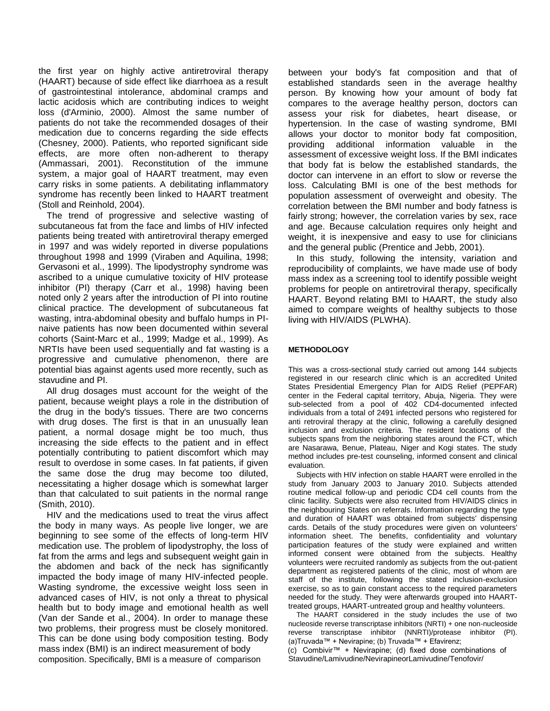the first year on highly active antiretroviral therapy (HAART) because of side effect like diarrhoea as a result of gastrointestinal intolerance, abdominal cramps and lactic acidosis which are contributing indices to weight loss (d'Arminio, 2000). Almost the same number of patients do not take the recommended dosages of their medication due to concerns regarding the side effects (Chesney, 2000). Patients, who reported significant side effects, are more often non-adherent to therapy (Ammassari, 2001). Reconstitution of the immune system, a major goal of HAART treatment, may even carry risks in some patients. A debilitating inflammatory syndrome has recently been linked to HAART treatment (Stoll and Reinhold, 2004).

The trend of progressive and selective wasting of subcutaneous fat from the face and limbs of HIV infected patients being treated with antiretroviral therapy emerged in 1997 and was widely reported in diverse populations throughout 1998 and 1999 (Viraben and Aquilina, 1998; Gervasoni et al., 1999). The lipodystrophy syndrome was ascribed to a unique cumulative toxicity of HIV protease inhibitor (PI) therapy (Carr et al., 1998) having been noted only 2 years after the introduction of PI into routine clinical practice. The development of subcutaneous fat wasting, intra-abdominal obesity and buffalo humps in PInaive patients has now been documented within several cohorts (Saint-Marc et al., 1999; Madge et al., 1999). As NRTIs have been used sequentially and fat wasting is a progressive and cumulative phenomenon, there are potential bias against agents used more recently, such as stavudine and PI.

All drug dosages must account for the weight of the patient, because weight plays a role in the distribution of the drug in the body's tissues. There are two concerns with drug doses. The first is that in an unusually lean patient, a normal dosage might be too much, thus increasing the side effects to the patient and in effect potentially contributing to patient discomfort which may result to overdose in some cases. In fat patients, if given the same dose the drug may become too diluted, necessitating a higher dosage which is somewhat larger than that calculated to suit patients in the normal range (Smith, 2010).

HIV and the medications used to treat the virus affect the body in many ways. As people live longer, we are beginning to see some of the effects of long-term HIV medication use. The problem of lipodystrophy, the loss of fat from the arms and legs and subsequent weight gain in the abdomen and back of the neck has significantly impacted the body image of many HIV-infected people. Wasting syndrome, the excessive weight loss seen in advanced cases of HIV, is not only a threat to physical health but to body image and emotional health as well (Van der Sande et al., 2004). In order to manage these two problems, their progress must be closely monitored. This can be done using body composition testing. Body mass index (BMI) is an indirect measurement of body composition. Specifically, BMI is a measure of comparison

between your body's fat composition and that of established standards seen in the average healthy person. By knowing how your amount of body fat compares to the average healthy person, doctors can assess your risk for diabetes, heart disease, or hypertension. In the case of wasting syndrome, BMI allows your doctor to monitor body fat composition, providing additional information valuable in the assessment of excessive weight loss. If the BMI indicates that body fat is below the established standards, the doctor can intervene in an effort to slow or reverse the loss. Calculating BMI is one of the best methods for population assessment of overweight and obesity. The correlation between the BMI number and body fatness is fairly strong; however, the correlation varies by sex, race and age. Because calculation requires only height and weight, it is inexpensive and easy to use for clinicians and the general public (Prentice and Jebb, 2001).

In this study, following the intensity, variation and reproducibility of complaints, we have made use of body mass index as a screening tool to identify possible weight problems for people on antiretroviral therapy, specifically HAART. Beyond relating BMI to HAART, the study also aimed to compare weights of healthy subjects to those living with HIV/AIDS (PLWHA).

#### **METHODOLOGY**

This was a cross-sectional study carried out among 144 subjects registered in our research clinic which is an accredited United States Presidential Emergency Plan for AIDS Relief (PEPFAR) center in the Federal capital territory, Abuja, Nigeria. They were sub-selected from a pool of 402 CD4-documented infected individuals from a total of 2491 infected persons who registered for anti retroviral therapy at the clinic, following a carefully designed inclusion and exclusion criteria. The resident locations of the subjects spans from the neighboring states around the FCT, which are Nasarawa, Benue, Plateau, Niger and Kogi states. The study method includes pre-test counseling, informed consent and clinical evaluation.

Subjects with HIV infection on stable HAART were enrolled in the study from January 2003 to January 2010. Subjects attended routine medical follow-up and periodic CD4 cell counts from the clinic facility. Subjects were also recruited from HIV/AIDS clinics in the neighbouring States on referrals. Information regarding the type and duration of HAART was obtained from subjects' dispensing cards. Details of the study procedures were given on volunteers' information sheet. The benefits, confidentiality and voluntary participation features of the study were explained and written informed consent were obtained from the subjects. Healthy volunteers were recruited randomly as subjects from the out-patient department as registered patients of the clinic, most of whom are staff of the institute, following the stated inclusion-exclusion exercise, so as to gain constant access to the required parameters needed for the study. They were afterwards grouped into HAARTtreated groups, HAART-untreated group and healthy volunteers.

The HAART considered in the study includes the use of two nucleoside reverse transcriptase inhibitors (NRTI) + one non-nucleoside reverse transcriptase inhibitor (NNRTI)/protease inhibitor (PI). (a)Truvada™ + Nevirapine; (b) Truvada™ + Efavirenz; (c) Combivir™ + Nevirapine; (d) fixed dose combinations of

Stavudine/Lamivudine/NevirapineorLamivudine/Tenofovir/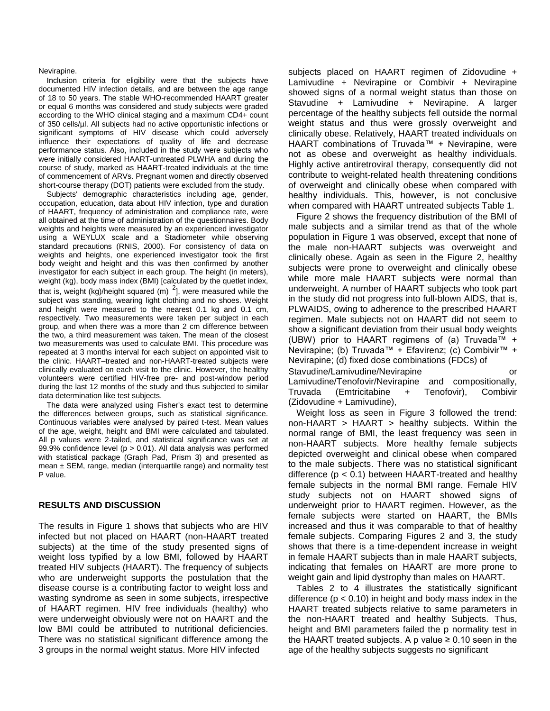Nevirapine.

Inclusion criteria for eligibility were that the subjects have documented HIV infection details, and are between the age range of 18 to 50 years. The stable WHO-recommended HAART greater or equal 6 months was considered and study subjects were graded according to the WHO clinical staging and a maximum CD4+ count of 350 cells/µl. All subjects had no active opportunistic infections or significant symptoms of HIV disease which could adversely influence their expectations of quality of life and decrease performance status. Also, included in the study were subjects who were initially considered HAART-untreated PLWHA and during the course of study, marked as HAART-treated individuals at the time of commencement of ARVs. Pregnant women and directly observed short-course therapy (DOT) patients were excluded from the study.

Subjects' demographic characteristics including age, gender, occupation, education, data about HIV infection, type and duration of HAART, frequency of administration and compliance rate, were all obtained at the time of administration of the questionnaires. Body weights and heights were measured by an experienced investigator using a WEYLUX scale and a Stadiometer while observing standard precautions (RNIS, 2000). For consistency of data on weights and heights, one experienced investigator took the first body weight and height and this was then confirmed by another investigator for each subject in each group. The height (in meters), weight (kg), body mass index (BMI) [calculated by the quetlet index, that is, weight (kg)/height squared (m)  $2$ ], were measured while the subject was standing, wearing light clothing and no shoes. Weight and height were measured to the nearest 0.1 kg and 0.1 cm, respectively. Two measurements were taken per subject in each group, and when there was a more than 2 cm difference between the two, a third measurement was taken. The mean of the closest two measurements was used to calculate BMI. This procedure was repeated at 3 months interval for each subject on appointed visit to the clinic. HAART–treated and non-HAART-treated subjects were clinically evaluated on each visit to the clinic. However, the healthy volunteers were certified HIV-free pre- and post-window period during the last 12 months of the study and thus subjected to similar data determination like test subjects.

The data were analyzed using Fisher's exact test to determine the differences between groups, such as statistical significance. Continuous variables were analysed by paired t-test. Mean values of the age, weight, height and BMI were calculated and tabulated. All p values were 2-tailed, and statistical significance was set at 99.9% confidence level (p > 0.01). All data analysis was performed with statistical package (Graph Pad, Prism 3) and presented as mean  $\pm$  SEM, range, median (interquartile range) and normality test P value.

#### **RESULTS AND DISCUSSION**

The results in Figure 1 shows that subjects who are HIV infected but not placed on HAART (non-HAART treated subjects) at the time of the study presented signs of weight loss typified by a low BMI, followed by HAART treated HIV subjects (HAART). The frequency of subjects who are underweight supports the postulation that the disease course is a contributing factor to weight loss and wasting syndrome as seen in some subjects, irrespective of HAART regimen. HIV free individuals (healthy) who were underweight obviously were not on HAART and the low BMI could be attributed to nutritional deficiencies. There was no statistical significant difference among the 3 groups in the normal weight status. More HIV infected

subjects placed on HAART regimen of Zidovudine + Lamivudine + Nevirapine or Combivir + Nevirapine showed signs of a normal weight status than those on Stavudine + Lamivudine + Nevirapine. A larger percentage of the healthy subjects fell outside the normal weight status and thus were grossly overweight and clinically obese. Relatively, HAART treated individuals on HAART combinations of Truvada™ + Nevirapine, were not as obese and overweight as healthy individuals. Highly active antiretroviral therapy, consequently did not contribute to weight-related health threatening conditions of overweight and clinically obese when compared with healthy individuals. This, however, is not conclusive when compared with HAART untreated subjects Table 1.

Figure 2 shows the frequency distribution of the BMI of male subjects and a similar trend as that of the whole population in Figure 1 was observed, except that none of the male non-HAART subjects was overweight and clinically obese. Again as seen in the Figure 2, healthy subjects were prone to overweight and clinically obese while more male HAART subjects were normal than underweight. A number of HAART subjects who took part in the study did not progress into full-blown AIDS, that is, PLWAIDS, owing to adherence to the prescribed HAART regimen. Male subjects not on HAART did not seem to show a significant deviation from their usual body weights (UBW) prior to HAART regimens of (a) Truvada™ + Nevirapine; (b) Truvada™ + Efavirenz; (c) Combivir™ + Nevirapine; (d) fixed dose combinations (FDCs) of Stavudine/Lamivudine/Nevirapine **compared of the state of the state of the state of** or Lamivudine/Tenofovir/Nevirapine and compositionally, Truvada (Emtricitabine + Tenofovir), Combivir

(Zidovudine + Lamivudine), Weight loss as seen in Figure 3 followed the trend:

non-HAART > HAART > healthy subjects. Within the normal range of BMI, the least frequency was seen in non-HAART subjects. More healthy female subjects depicted overweight and clinical obese when compared to the male subjects. There was no statistical significant difference  $(p < 0.1)$  between HAART-treated and healthy female subjects in the normal BMI range. Female HIV study subjects not on HAART showed signs of underweight prior to HAART regimen. However, as the female subjects were started on HAART, the BMIs increased and thus it was comparable to that of healthy female subjects. Comparing Figures 2 and 3, the study shows that there is a time-dependent increase in weight in female HAART subjects than in male HAART subjects, indicating that females on HAART are more prone to weight gain and lipid dystrophy than males on HAART.

Tables 2 to 4 illustrates the statistically significant difference ( $p < 0.10$ ) in height and body mass index in the HAART treated subjects relative to same parameters in the non-HAART treated and healthy Subjects. Thus, height and BMI parameters failed the p normality test in the HAART treated subjects. A p value  $\geq 0.10$  seen in the age of the healthy subjects suggests no significant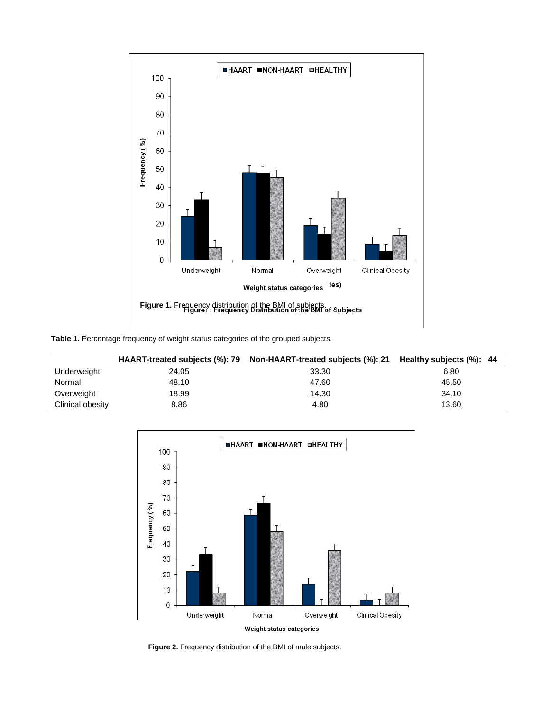

**Table 1.** Percentage frequency of weight status categories of the grouped subjects.

|                  | HAART-treated subjects (%): 79 | Non-HAART-treated subjects (%): 21    Healthy subjects (%): 44 |       |
|------------------|--------------------------------|----------------------------------------------------------------|-------|
| Underweight      | 24.05                          | 33.30                                                          | 6.80  |
| Normal           | 48.10                          | 47.60                                                          | 45.50 |
| Overweight       | 18.99                          | 14.30                                                          | 34.10 |
| Clinical obesity | 8.86                           | 4.80                                                           | 13.60 |



**Figure 2.** Frequency distribution of the BMI of male subjects.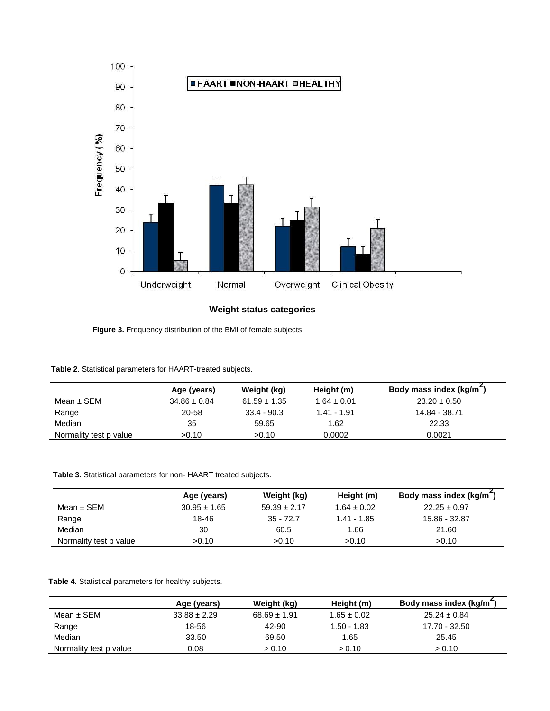

**Weight status categories**

**Figure 3.** Frequency distribution of the BMI of female subjects.

|                        | Age (years)      | Weight (kg)      | Height (m)      | Body mass index (kg/m <sup>-</sup> ) |
|------------------------|------------------|------------------|-----------------|--------------------------------------|
| Mean ± SEM             | $34.86 \pm 0.84$ | $61.59 \pm 1.35$ | $1.64 \pm 0.01$ | $23.20 \pm 0.50$                     |
| Range                  | 20-58            | $33.4 - 90.3$    | 1.41 - 1.91     | 14.84 - 38.71                        |
| Median                 | 35               | 59.65            | 1.62            | 22.33                                |
| Normality test p value | >0.10            | >0.10            | 0.0002          | 0.0021                               |

**Table 3.** Statistical parameters for non- HAART treated subjects.

|                        | Age (years)      | Weight (kg)      | Height (m)      | Body mass index (kg/m <sup>-</sup> ) |
|------------------------|------------------|------------------|-----------------|--------------------------------------|
| Mean $\pm$ SEM         | $30.95 \pm 1.65$ | $59.39 \pm 2.17$ | $1.64 \pm 0.02$ | $22.25 \pm 0.97$                     |
| Range                  | 18-46            | $35 - 72.7$      | $1.41 - 1.85$   | 15.86 - 32.87                        |
| Median                 | 30               | 60.5             | 1.66            | 21.60                                |
| Normality test p value | >0.10            | >0.10            | >0.10           | >0.10                                |

**Table 4.** Statistical parameters for healthy subjects.

|                        | Age (years)      | Weight (kg)      | Height (m)      | Body mass index (kg/m <sup>-</sup> ) |
|------------------------|------------------|------------------|-----------------|--------------------------------------|
| Mean $\pm$ SEM         | $33.88 \pm 2.29$ | $68.69 \pm 1.91$ | $1.65 \pm 0.02$ | $25.24 \pm 0.84$                     |
| Range                  | 18-56            | 42-90            | $1.50 - 1.83$   | 17.70 - 32.50                        |
| Median                 | 33.50            | 69.50            | 1.65            | 25.45                                |
| Normality test p value | 0.08             | > 0.10           | > 0.10          | > 0.10                               |